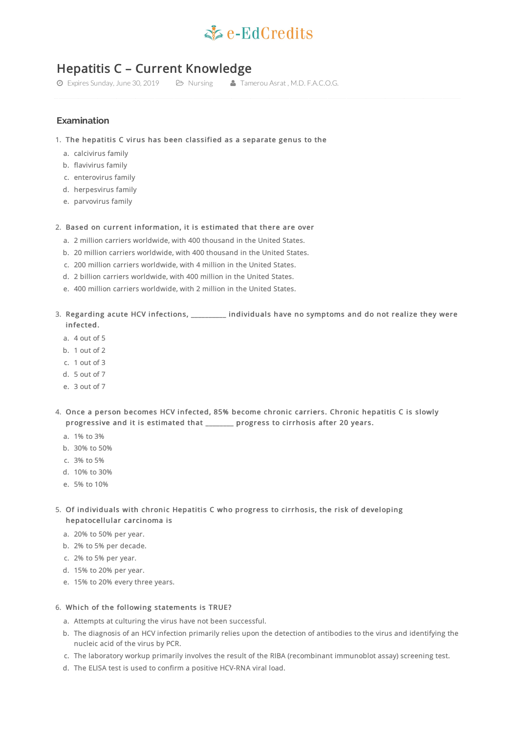# $\leq c$ -EdCredits

## Hepatitis C – Current Knowledge

Expires Sunday, June 30, 2019 Nursing Tamerou Asrat , M.D. F.A.C.O.G.

### **Examination**

- 1. The hepatitis C virus has been classified as a separate genus to the
	- a. calcivirus family
	- b. flavivirus family
	- c. enterovirus family
	- d. herpesvirus family
	- e. parvovirus family

#### 2. Based on current information, it is estimated that there are over

- a. 2 million carriers worldwide, with 400 thousand in the United States.
- b. 20 million carriers worldwide, with 400 thousand in the United States.
- c. 200 million carriers worldwide, with 4 million in the United States.
- d. 2 billion carriers worldwide, with 400 million in the United States.
- e. 400 million carriers worldwide, with 2 million in the United States.
- 3. Regarding acute HCV infections, \_\_\_\_\_\_\_\_\_\_ individuals have no symptoms and do not realize they were infected.
	- a. 4 out of 5
	- b. 1 out of 2
	- c. 1 out of 3
	- d. 5 out of 7
	- e. 3 out of 7
- 4. Once a person becomes HCV infected, 85% become chronic carriers. Chronic hepatitis C is slowly progressive and it is estimated that \_\_\_\_\_\_\_\_ progress to cirrhosis after 20 years.
	- a. 1% to 3%
	- b. 30% to 50%
	- c. 3% to 5%
	- d. 10% to 30%
	- e. 5% to 10%
- 5. Of individuals with chronic Hepatitis C who progress to cirrhosis, the risk of developing hepatocellular carcinoma is
	- a. 20% to 50% per year.
	- b. 2% to 5% per decade.
	- c. 2% to 5% per year.
	- d. 15% to 20% per year.
	- e. 15% to 20% every three years.

#### 6. Which of the following statements is TRUE?

- a. Attempts at culturing the virus have not been successful.
- b. The diagnosis of an HCV infection primarily relies upon the detection of antibodies to the virus and identifying the nucleic acid of the virus by PCR.
- c. The laboratory workup primarily involves the result of the RIBA (recombinant immunoblot assay) screening test.
- d. The ELISA test is used to confirm a positive HCV-RNA viral load.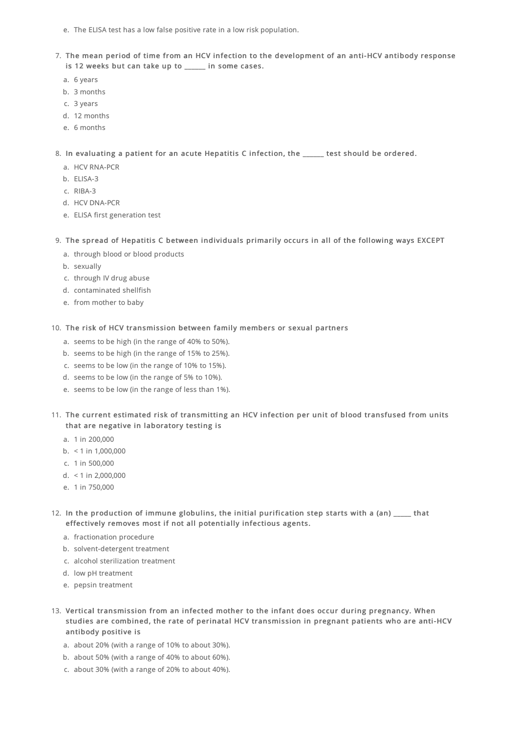- e. The ELISA test has a low false positive rate in a low risk population.
- 7. The mean period of time from an HCV infection to the development of an anti-HCV antibody response is 12 weeks but can take up to \_\_\_\_\_ in some cases.
	- a. 6 years
	- b. 3 months
	- c. 3 years
	- d. 12 months
	- e. 6 months

8. In evaluating a patient for an acute Hepatitis C infection, the \_\_\_\_\_\_ test should be ordered.

- a. HCV RNA-PCR
- b. ELISA-3
- c. RIBA-3
- d. HCV DNA-PCR
- e. ELISA first generation test
- 9. The spread of Hepatitis C between individuals primarily occurs in all of the following ways EXCEPT
	- a. through blood or blood products
	- b. sexually
	- c. through IV drug abuse
	- d. contaminated shellfish
	- e. from mother to baby
- 10. The risk of HCV transmission between family members or sexual partners
	- a. seems to be high (in the range of 40% to 50%).
	- b. seems to be high (in the range of 15% to 25%).
	- c. seems to be low (in the range of 10% to 15%).
	- d. seems to be low (in the range of 5% to 10%).
	- e. seems to be low (in the range of less than 1%).
- 11. The current estimated risk of transmitting an HCV infection per unit of blood transfused from units that are negative in laboratory testing is
	- a. 1 in 200,000
	- b.  $<$  1 in 1,000,000
	- c. 1 in 500,000
	- d. < 1 in 2,000,000
	- e. 1 in 750,000
- 12. In the production of immune globulins, the initial purification step starts with a (an) that effectively removes most if not all potentially infectious agents.
	- a. fractionation procedure
	- b. solvent-detergent treatment
	- c. alcohol sterilization treatment
	- d. low pH treatment
	- e. pepsin treatment
- 13. Vertical transmission from an infected mother to the infant does occur during pregnancy. When studies are combined, the rate of perinatal HCV transmission in pregnant patients who are anti-HCV antibody positive is
	- a. about 20% (with a range of 10% to about 30%).
	- b. about 50% (with a range of 40% to about 60%).
	- c. about 30% (with a range of 20% to about 40%).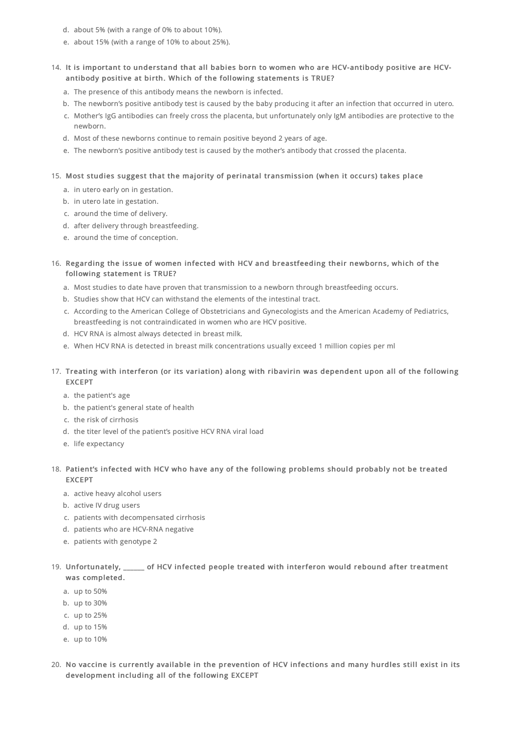- d. about 5% (with a range of 0% to about 10%).
- e. about 15% (with a range of 10% to about 25%).

#### 14. It is important to understand that all babies born to women who are HCV-antibody positive are HCVantibody positive at birth. Which of the following statements is TRUE?

- a. The presence of this antibody means the newborn is infected.
- b. The newborn's positive antibody test is caused by the baby producing it after an infection that occurred in utero.
- c. Mother's IgG antibodies can freely cross the placenta, but unfortunately only IgM antibodies are protective to the newborn.
- d. Most of these newborns continue to remain positive beyond 2 years of age.
- e. The newborn's positive antibody test is caused by the mother's antibody that crossed the placenta.

#### 15. Most studies suggest that the majority of perinatal transmission (when it occurs) takes place

- a. in utero early on in gestation.
- b. in utero late in gestation.
- c. around the time of delivery.
- d. after delivery through breastfeeding.
- e. around the time of conception.
- 16. Regarding the issue of women infected with HCV and breastfeeding their newborns, which of the following statement is TRUE?
	- a. Most studies to date have proven that transmission to a newborn through breastfeeding occurs.
	- b. Studies show that HCV can withstand the elements of the intestinal tract.
	- c. According to the American College of Obstetricians and Gynecologists and the American Academy of Pediatrics, breastfeeding is not contraindicated in women who are HCV positive.
	- d. HCV RNA is almost always detected in breast milk.
	- e. When HCV RNA is detected in breast milk concentrations usually exceed 1 million copies per ml
- 17. Treating with interferon (or its variation) along with ribavirin was dependent upon all of the following EXCEPT
	- a. the patient's age
	- b. the patient's general state of health
	- c. the risk of cirrhosis
	- d. the titer level of the patient's positive HCV RNA viral load
	- e. life expectancy

#### 18. Patient's infected with HCV who have any of the following problems should probably not be treated EXCEPT

- a. active heavy alcohol users
- b. active IV drug users
- c. patients with decompensated cirrhosis
- d. patients who are HCV-RNA negative
- e. patients with genotype 2

#### 19. Unfortunately, \_\_\_\_\_\_ of HCV infected people treated with interferon would rebound after treatment was completed.

- a. up to 50%
- b. up to 30%
- c. up to 25%
- d. up to 15%
- e. up to 10%
- 20. No vaccine is currently available in the prevention of HCV infections and many hurdles still exist in its development including all of the following EXCEPT